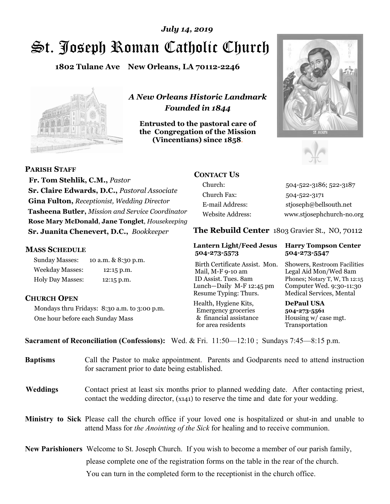# St. Joseph Roman Catholic Church *July 14, 2019*

**1802 Tulane Ave New Orleans, LA 70112-2246**



*A New Orleans Historic Landmark Founded in 1844* 

**Entrusted to the pastoral care of the Congregation of the Mission (Vincentians) since 1858**.





**PARISH STAFF**

 **Fr. Tom Stehlik, C.M.,** *Pastor* **Sr. Claire Edwards, D.C.,** *Pastoral Associate* **Gina Fulton,** *Receptionist, Wedding Director* **Tasheena Butler,** *Mission and Service Coordinator* **Rose Mary McDonald**, **Jane Tonglet**, *Housekeeping* **Sr. Juanita Chenevert, D.C.,** *Bookkeeper* 

#### **MASS SCHEDULE**

Sunday Masses: 10 a.m. & 8:30 p.m. Weekday Masses: 12:15 p.m. Holy Day Masses: 12:15 p.m.

### **CHURCH OPEN**

Mondays thru Fridays: 8:30 a.m. to 3:00 p.m. One hour before each Sunday Mass

## **CONTACT US**

Church: 504-522-3186; 522-3187 Church Fax: 504-522-3171 E-mail Address: stjoseph@bellsouth.net Website Address: www.stjosephchurch-no.org

**The Rebuild Center** 1803 Gravier St., NO, 70112

#### **Lantern Light/Feed Jesus Harry Tompson Center 504-273-5573 504-273-5547**

Birth Certificate Assist. Mon. Showers, Restroom Facilities Mail, M-F 9-10 am Legal Aid Mon/Wed 8am ID Assist. Tues. 8am Phones; Notary T, W, Th 12:15 Lunch—Daily M-F 12:45 pm Computer Wed. 9:30-11:30 Resume Typing: Thurs. Medical Services, Mental

Health, Hygiene Kits, **DePaul USA**  Emergency groceries **504-273-5561** & financial assistance Housing w/ case mgt.<br>for area residents Transportation for area residents

**Sacrament of Reconciliation (Confessions):** Wed. & Fri. 11:50—12:10 ; Sundays 7:45—8:15 p.m.

| <b>Baptisms</b> | Call the Pastor to make appointment. Parents and Godparents need to attend instruction<br>for sacrament prior to date being established.                                                                   |
|-----------------|------------------------------------------------------------------------------------------------------------------------------------------------------------------------------------------------------------|
| <b>Weddings</b> | Contact priest at least six months prior to planned wedding date. After contacting priest,<br>contact the wedding director, (x141) to reserve the time and date for your wedding.                          |
|                 | <b>Ministry to Sick</b> Please call the church office if your loved one is hospitalized or shut-in and unable to<br>attend Mass for <i>the Anointing of the Sick</i> for healing and to receive communion. |
|                 | <b>New Parishioners</b> Welcome to St. Joseph Church. If you wish to become a member of our parish family,                                                                                                 |
|                 | please complete one of the registration forms on the table in the rear of the church.                                                                                                                      |
|                 | You can turn in the completed form to the receptionist in the church office.                                                                                                                               |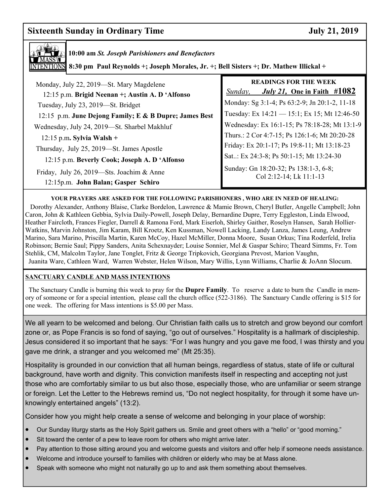# **Sixteenth Sunday in Ordinary Time July 21, 2019**



**10:00 am** *St. Joseph Parishioners and Benefactors* **8:30 pm Paul Reynolds +; Joseph Morales, Jr. +; Bell Sisters +; Dr. Mathew Illickal +**

| Monday, July 22, 2019—St. Mary Magdelene<br>12:15 p.m. Brigid Neenan +; Austin A. D 'Alfonso | <b>READINGS FOR THE WEEK</b><br><i>July 21</i> , One in Faith $\#1082$<br>Sunday, |
|----------------------------------------------------------------------------------------------|-----------------------------------------------------------------------------------|
| Tuesday, July 23, 2019-St. Bridget                                                           | Monday: Sg 3:1-4; Ps 63:2-9; Jn 20:1-2, 11-18                                     |
| 12:15 p.m. June Dejong Family; E & B Dupre; James Best                                       | Tuesday: Ex 14:21 - 15:1; Ex 15; Mt 12:46-50                                      |
| Wednesday, July 24, 2019-St. Sharbel Makhluf                                                 | Wednesday: Ex 16:1-15; Ps 78:18-28; Mt 13:1-9                                     |
| $12:15$ p.m. Sylvia Walsh +                                                                  | Thurs.: 2 Cor 4:7-15; Ps 126:1-6; Mt 20:20-28                                     |
| Thursday, July 25, 2019—St. James Apostle                                                    | Friday: Ex 20:1-17; Ps 19:8-11; Mt 13:18-23                                       |
| 12:15 p.m. Beverly Cook; Joseph A. D 'Alfonso                                                | Sat: Ex 24:3-8; Ps 50:1-15; Mt 13:24-30                                           |
| Friday, July 26, 2019—Sts. Joachim & Anne<br>12:15p.m. John Balan; Gasper Schiro             | Sunday: Gn 18:20-32; Ps 138:1-3, 6-8;<br>Col 2:12-14; Lk 11:1-13                  |

#### **YOUR PRAYERS ARE ASKED FOR THE FOLLOWING PARISHIONERS , WHO ARE IN NEED OF HEALING:**

 Dorothy Alexander, Anthony Blaise, Clarke Bordelon, Lawrence & Mamie Brown, Cheryl Butler, Angelle Campbell; John Caron, John & Kathleen Gebbia, Sylvia Daily-Powell, Joseph Delay, Bernardine Dupre, Terry Eggleston, Linda Elwood, Heather Faircloth, Frances Fiegler, Darrell & Ramona Ford, Mark Eiserloh, Shirley Gaither, Roselyn Hansen, Sarah Hollier-Watkins, Marvin Johnston, Jim Karam, Bill Kroetz, Ken Kussman, Nowell Lacking, Landy Lanza, James Leung, Andrew Marino, Sara Marino, Priscilla Martin, Karen McCoy, Hazel McMiller, Donna Moore, Susan Orkus; Tina Roderfeld, Irelia Robinson; Bernie Saul; Pippy Sanders, Anita Schexnayder; Louise Sonnier, Mel & Gaspar Schiro; Theard Simms, Fr. Tom Stehlik, CM, Malcolm Taylor, Jane Tonglet, Fritz & George Tripkovich, Georgiana Prevost, Marion Vaughn, Juanita Ware, Cathleen Ward, Warren Webster, Helen Wilson, Mary Willis, Lynn Williams, Charlie & JoAnn Slocum.

#### **SANCTUARY CANDLE AND MASS INTENTIONS**

 The Sanctuary Candle is burning this week to pray for the **Dupre Family**. To reserve a date to burn the Candle in memory of someone or for a special intention, please call the church office (522-3186). The Sanctuary Candle offering is \$15 for one week. The offering for Mass intentions is \$5.00 per Mass.

 gave me drink, a stranger and you welcomed me" (Mt 25:35). We all yearn to be welcomed and belong. Our Christian faith calls us to stretch and grow beyond our comfort zone or, as Pope Francis is so fond of saying, "go out of ourselves." Hospitality is a hallmark of discipleship. Jesus considered it so important that he says: "For I was hungry and you gave me food, I was thirsty and you

Hospitality is grounded in our conviction that all human beings, regardless of status, state of life or cultural background, have worth and dignity. This conviction manifests itself in respecting and accepting not just those who are comfortably similar to us but also those, especially those, who are unfamiliar or seem strange or foreign. Let the Letter to the Hebrews remind us, "Do not neglect hospitality, for through it some have unknowingly entertained angels" (13:2).

Consider how you might help create a sense of welcome and belonging in your place of worship:

- Our Sunday liturgy starts as the Holy Spirit gathers us. Smile and greet others with a "hello" or "good morning."
- Sit toward the center of a pew to leave room for others who might arrive later.
- Pay attention to those sitting around you and welcome guests and visitors and offer help if someone needs assistance.
- Welcome and introduce yourself to families with children or elderly who may be at Mass alone.
- Speak with someone who might not naturally go up to and ask them something about themselves.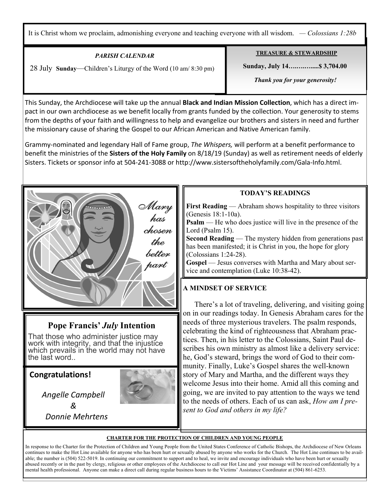It is Christ whom we proclaim, admonishing everyone and teaching everyone with all wisdom. *— Colossians 1:28b*

| PARISH CALENDAR                                               | <b>TREASURE &amp; STEWARDSHIP</b> |
|---------------------------------------------------------------|-----------------------------------|
| 28 July Sunday—Children's Liturgy of the Word (10 am/8:30 pm) | <b>Sunday, July 14 \$3,704.00</b> |
|                                                               | Thank you for your generosity!    |
|                                                               |                                   |

This Sunday, the Archdiocese will take up the annual **Black and Indian Mission Collection**, which has a direct impact in our own archdiocese as we benefit locally from grants funded by the collection. Your generosity to stems from the depths of your faith and willingness to help and evangelize our brothers and sisters in need and further the missionary cause of sharing the Gospel to our African American and Native American family.

Grammy-nominated and legendary Hall of Fame group, *The Whispers,* will perform at a benefit performance to benefit the ministries of the **Sisters of the Holy Family** on 8/18/19 (Sunday) as well as retirement needs of elderly Sisters. Tickets or sponsor info at 504-241-3088 or http://www.sistersoftheholyfamily.com/Gala-Info.html.



# **Pope Francis'** *July* **Intention**

That those who administer justice may work with integrity, and that the injustice<br>which prevails in the world may not have the last word..

**Congratulations!** 

Ξ



 *&*  *Donnie Mehrtens* 

*Angelle Campbell* 

#### **CHARTER FOR THE PROTECTION OF CHILDREN AND YOUNG PEOPLE**

In response to the Charter for the Protection of Children and Young People from the United States Conference of Catholic Bishops, the Archdiocese of New Orleans continues to make the Hot Line available for anyone who has been hurt or sexually abused by anyone who works for the Church. The Hot Line continues to be available; the number is (504) 522-5019. In continuing our commitment to support and to heal, we invite and encourage individuals who have been hurt or sexually abused recently or in the past by clergy, religious or other employees of the Archdiocese to call our Hot Line and your message will be received confidentially by a mental health professional. Anyone can make a direct call during regular business hours to the Victims' Assistance Coordinator at (504) 861-6253.

#### **TODAY'S READINGS**

**First Reading** — Abraham shows hospitality to three visitors (Genesis 18:1-10a).

**Psalm** — He who does justice will live in the presence of the Lord (Psalm 15).

**Second Reading** — The mystery hidden from generations past has been manifested; it is Christ in you, the hope for glory (Colossians 1:24-28).

**Gospel** — Jesus converses with Martha and Mary about service and contemplation (Luke 10:38-42).

### **A MINDSET OF SERVICE**

 There's a lot of traveling, delivering, and visiting going on in our readings today. In Genesis Abraham cares for the needs of three mysterious travelers. The psalm responds, celebrating the kind of righteousness that Abraham practices. Then, in his letter to the Colossians, Saint Paul describes his own ministry as almost like a delivery service: he, God's steward, brings the word of God to their community. Finally, Luke's Gospel shares the well-known story of Mary and Martha, and the different ways they welcome Jesus into their home. Amid all this coming and going, we are invited to pay attention to the ways we tend to the needs of others. Each of us can ask, *How am I present to God and others in my life?*